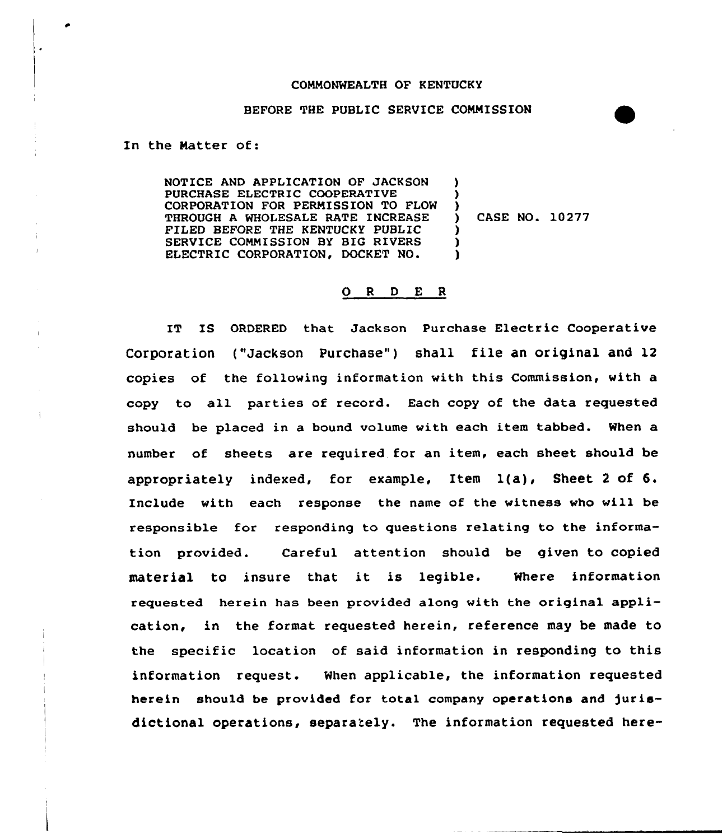## CONNONWEALTH OF KENTUCKY

### BEFORE THE PUBLIC SERVICE CONNISSION

In the Natter of:

NOTICE AND APPLICATION OF JACKSON PURCHASE ELECTRIC COOPERATIVE CORPORATION FOR PERNISSION TO FLOW THROUGH A WHOLESALE RATE INCREASE FILED BEFORE THE KENTUCKY PUBLIC SERVICE CONNISSION BY BIG RIVERS ELECTRIC CORPORATION, DOCKET NO. ) ) ) ) CASE NO. 10277 ) ) )

## 0 <sup>R</sup> <sup>D</sup> E <sup>R</sup>

IT IS ORDERED that Jackson Purchase Electric Cooperative Corporation ("Jackson Purchase") shall file an original and 12 copies of the following information with this Commission, with a copy to all parties of record. Each copy of the data requested should be placed in a bound volume with each item tabbed. When a number of sheets are required for an item, each sheet should be appropriately indexed, for example, Item 1(a), Sheet <sup>2</sup> of 6. Include with each response the name of the witness who will be responsible for responding to questions relating to the information provided. Careful attention should be given to copied material to insure that it is legible. Where information requested herein has been provided along with the original application, in the format requested herein, reference may be made to the specific location of said information in responding to this information request. When applicable, the information requested herein should be provided for total company operations and )urisdictional operations, separately. The information requested here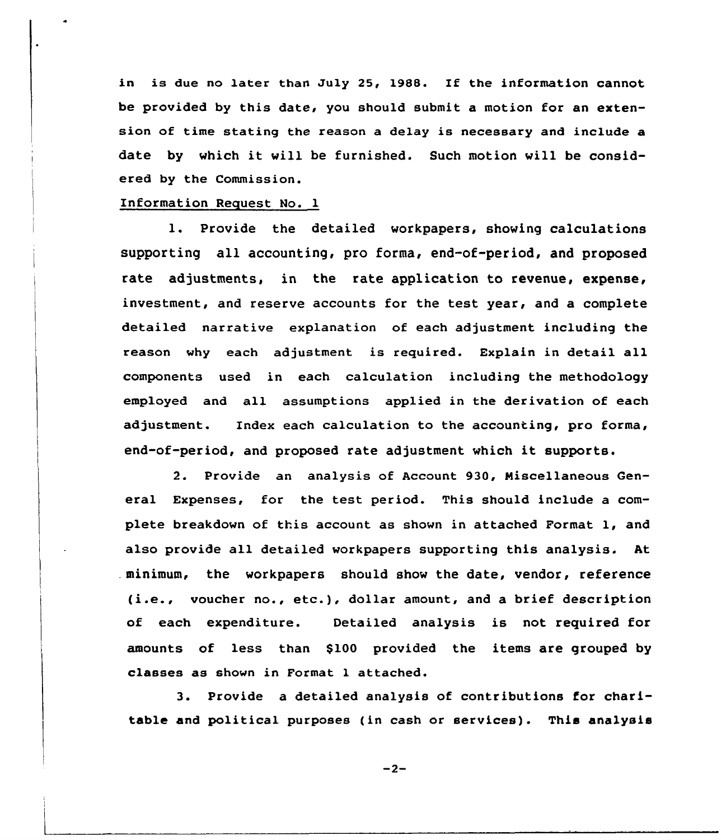in is due no later than July 25, 1988. If the information cannot be provided by this date, you should submit a motion for an extension of time stating the reason a delay is necessary and include a date by which it vill be furnished. Such motion will be considered by the Commission.

## Information Request No. 1

l. Provide the detailed workpapers, showing calculations supporting all accounting, pro forma, end-of-period, and proposed rate adjustments, in the rate application to revenue, expense, investment, and reserve accounts for the test year, and a complete detailed narrative explanation of each adjustment including the reason why each adjustment is reguired. Explain in detail all components used in each calculation including the methodology employed and all assumptions applied in the derivation of each adjustment. Index each calculation to the accounting, pro forma, end-of-period, and proposed rate adjustment which it supports.

2. Provide an analysis of Account 930, Miscellaneous General Expenses, for the test period. This should include a complete breakdown of this account as shown in attached Format 1, and also provide all detailed workpapers supporting this analysis. At . minimum, the workpapers should show the date, vendor, reference (i.e., voucher no., etc.), dollar amount, and <sup>a</sup> brief description of each expenditure. Detailed analysis is not required for amounts of less than \$100 provided the items are grouped by classes as shown in Format 1 attached.

3. Provide a detailed analysis of contributions for charitable and political purposes (in cash or services). This analysis

 $-2-$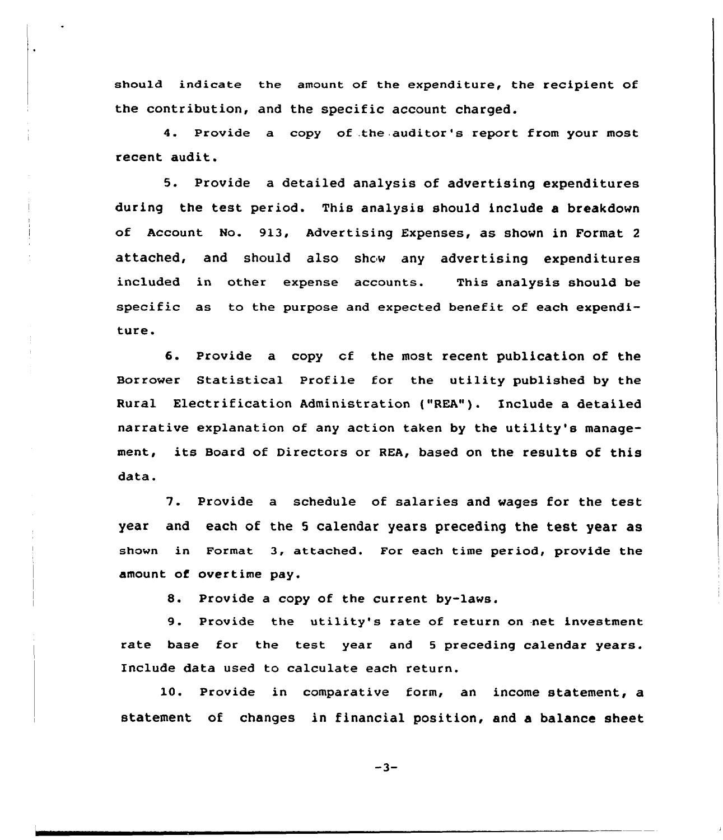should indicate the amount of the expenditure, the recipient of the contribution, and the specific account charged.

4. Provide a copy of .the auditor's report from your most recent audit.

5. Provide a detailed analysis of advertising expenditures during the test period. This analysis should include a breakdown of Account No. 913, Advertising Expenses, as shown in Format <sup>2</sup> attached, and should also show any advertising expenditures included in other expense accounts. This analysis should be specific as to the purpose and expected benefit of each expenditure.

6. Provide a copy of the most recent publication of the Borrower Statistical Profile for the utility published by the Rural Electrification Administration ("REA"). Include a detailed narrative explanation of any action taken by the utility's management, its Board of Directors or REA, based on the results of this data.

7. Provide <sup>a</sup> schedule of salaries and wages for the test year and each of the <sup>5</sup> calendar years preceding the test year as shown in Format 3, attached. For each time period, provide the amount of overtime pay.

8. Provide <sup>a</sup> copy of the current by-laws.

9. Provide the utility's rate of return on net investment rate base for the test year and <sup>5</sup> preceding calendar years. Include data used to calculate each return.

10. Provide in comparative form, an income statement, a statement of changes in financial position, and a balance sheet

 $-3-$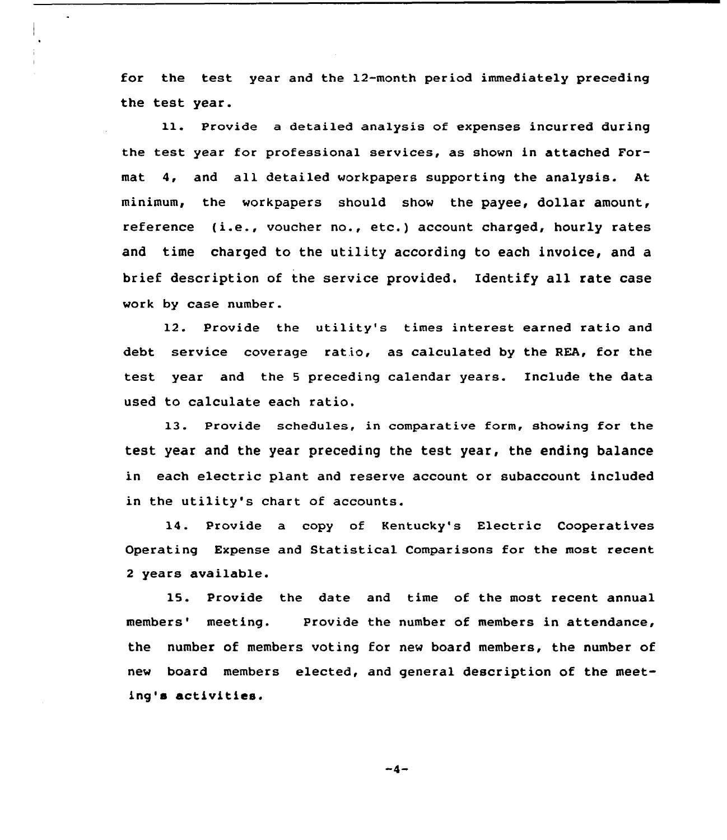for the test year and the 12-month period immediately preceding the test year.

11. Provide a detailed analysis of expenses incurred during the test year for professional services, as shown in attached Format 4, and all detailed workpapers supporting the analysis. At minimum, the workpapers should show the payee, dollar amount, reference (i.e., vaucher no., etc.) account charged, hourly rates and time charged to the utility according to each invoice, and a brief description af the service provided. Identify all rate case work by case number.

12. Provide the utility's times interest earned ratio and debt service coverage ratio, as calculated by the REA, for the test year and the <sup>5</sup> preceding calendar years. Include the data used to calculate each ratio.

13. Provide schedules, in comparative form, showing for the test year and the year preceding the test year, the ending balance in each electric plant and reserve account or subaccount included in the utility's chart of accounts.

14. Provide a copy of Kentucky's Electric Cooperatives Operating Expense and Statistical Comparisons for the most recent <sup>2</sup> years available.

15. Provide the date and time of the most recent annual members' meeting. Provide the number of members in attendance, the number of members voting for new board members, the number of new board members elected, and general description of the meeting's activities.

 $-4-$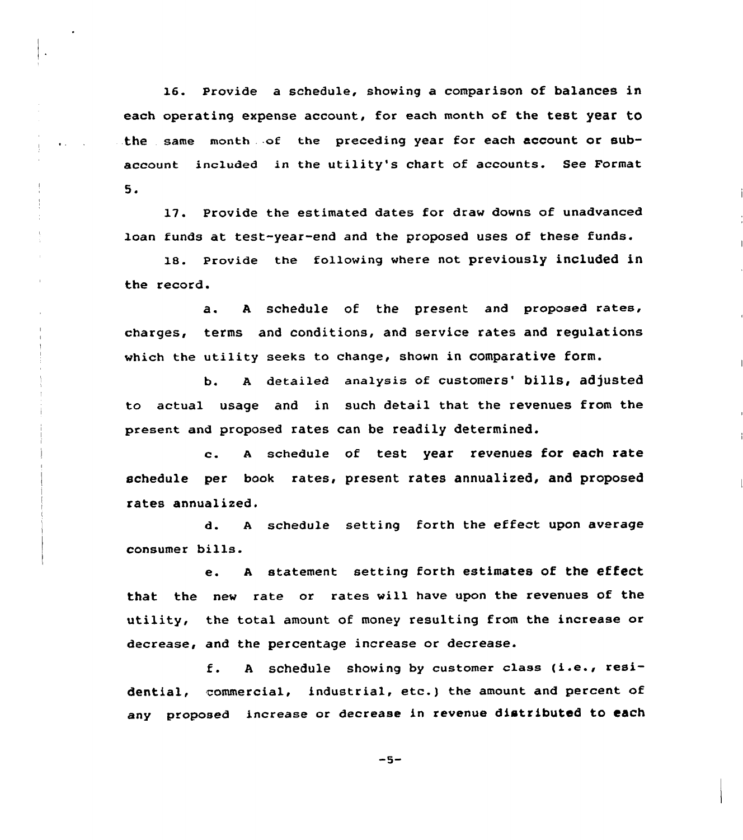16. Provide a schedule, showing a comparison of balances in each operating expense account, for each month of the test year to the same month . of the preceding year for each account or subaccount included in the utility's chart of accounts. See Format  $5.$ 

17. Provide the estimated dates for draw downs of unadvanced loan funds at test-year-end and the proposed uses of these funds.

 $\frac{1}{2}$ 

18. Provide the following where not previously included in the record.

a. <sup>A</sup> schedule of the present and proposed rates, charges, terms and conditions, and service rates and regulations which the utility seeks to change, shown in comparative form.

b. A detailed analysis of customers' bills, adjusted to actual usage and in such detail that the revenues from the present and proposed rates can be readily determined.

c. <sup>A</sup> schedule of test year revenues for each rate schedule per book rates, present rates annualized, and proposed rates annualized.

d. A schedule setting forth the effect upon average consumer bills.

e. <sup>A</sup> statement setting forth estimates of the effect that the new rate or rates will have upon the revenues of the utility, the total amount of money resulting from the increase or decrease, and the percentage increase or decrease.

f. <sup>A</sup> schedule showing by customer class (i.e., residential, commercial, industrial, etc.) the amount and percent of any proposed increase or decrease in revenue distributed to each

 $-5-$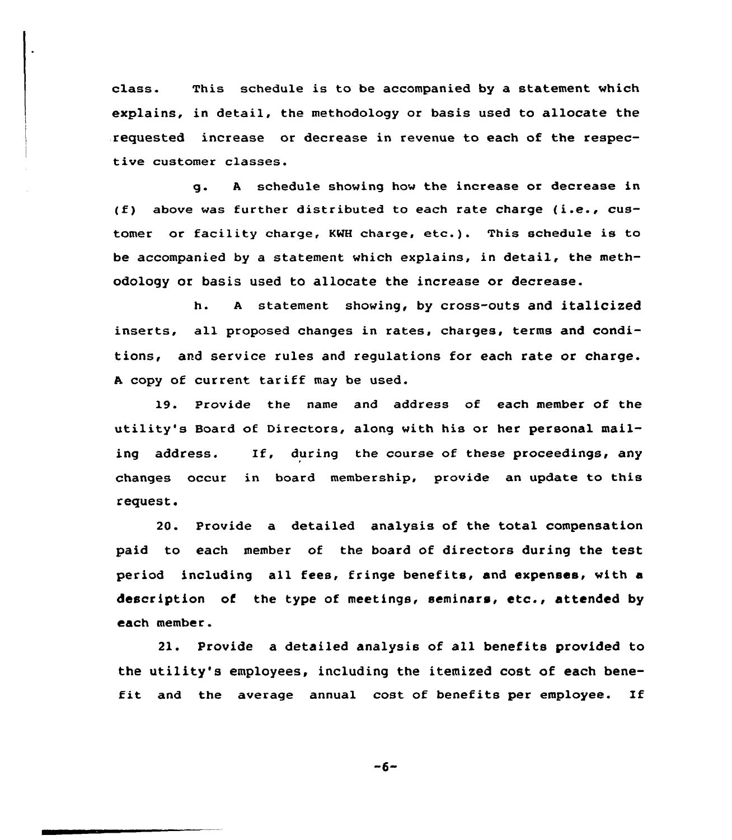class. This schedule is to be accompanied by a statement which explains, in detail, the methodology or basis used to allocate the requested increase or decrease in revenue to each of the respective customer classes.

g. <sup>A</sup> schedule showing how the increase or decrease in (f) above was further distributed to each rate charge (i.e., customer or facility charge, KMH charge, etc.). This schedule is to be accompanied by a statement which explains, in detail, the methodology or basis used to allocate the increase or decrease.

h. <sup>A</sup> statement showing, by cross-outs and italicized inserts, all proposed changes in rates, charges, terms and conditions, and service rules and regulations for each rate or charge. <sup>A</sup> copy of current tariff may be used.

19. Provide the name and address of each member of the utility's Board of Directors, along with his or her personal mailing address. If, during the course of these proceedings, any changes occur in board membership, provide an update to this request.

20. Provide a detailed analysis of the total compensation paid to each member of the board of directors during the test period including all fees, fringe benefits, and expenses, with a description of the type of meetings, seminars, etc., attended by each member.

21. Provide a detailed analysis of all benefits provided to the utility's employees, including the itemized cost of each benefit and the average annual cost of benefits per employee. If

 $-6-$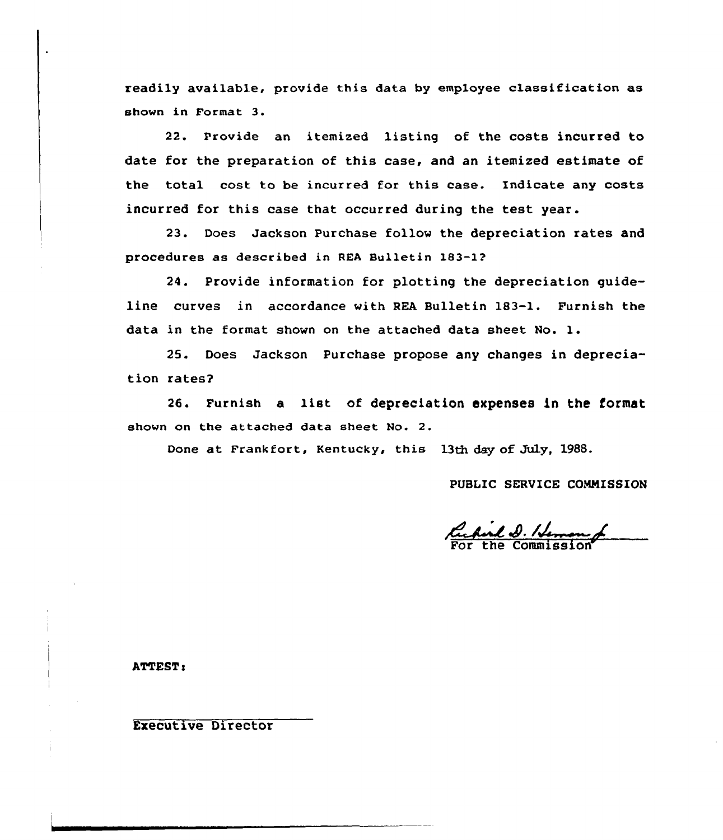readily available, provide this data by employee classification as shown in Format 3.

22. Provide an itemized listing of the costs incurred to date for the preparation of this case, and an itemized estimate of the total cost to be incurred for this case. Indicate any costs incurred for this case that occurred during the test year.

23. Does Jackson Purchase follow the depreciation rates and procedures as described in REA Bulletin 183-1?

24. Provide information for plotting the depreciation guideline curves in accordance with REA Bulletin 183-1. Furnish the data in the format shown on the attached data sheet No. l.

25. Does Jackson Purchase propose any changes in depreciation rates?

26. Furnish a list of depreciation expenses in the format shown on the attached data sheet No. 2.

Done at Frankfort, Kentucky, this 13th day of July, 1988.

PUBLIC SERVICE COMMISSION

Cachiel D. Hennes<br>For the Commission

ATTEST:

Executive Director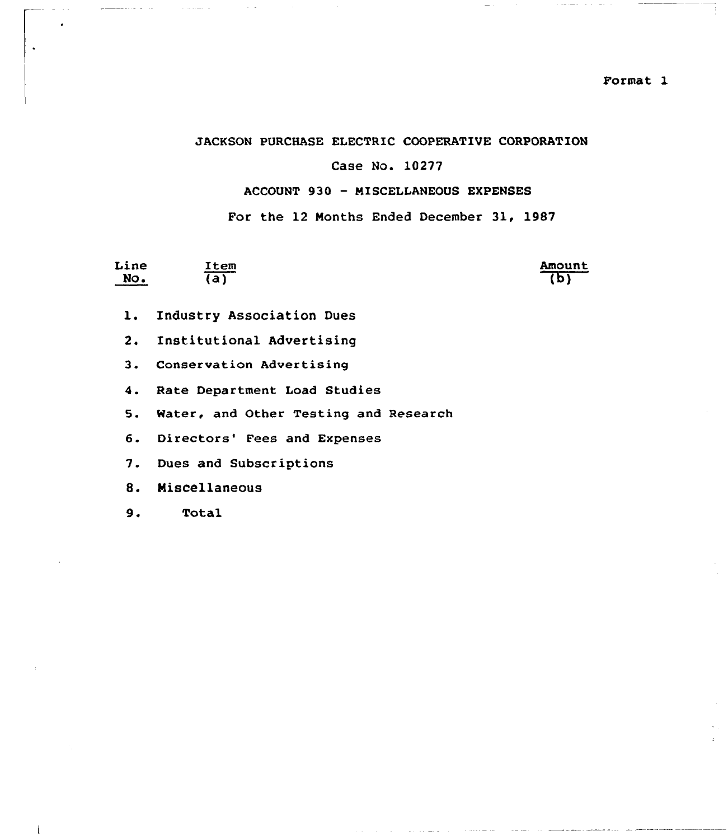## JACKSON PURCHASE ELECTRIC COOPERATIVE CORPORATION

## Case No. 10277

## ACCOUNT 930 - MISCELLANEOUS EXPENSES

For the 12 Months Ended December 31, 1987

| Line | Item |
|------|------|
| No.  | (a)  |

Amount (b)

- l. Industry Association Dues
- 2. Institutional Advertising
- 3. Conservation Advertising
- 4. Rate Department Load Studies
- 5. Water, and Other Testing and Research
- 6. Directors' Fees and Expenses
- 7. Dues and Subscriptions
- 8. Miscellaneous
- 9. Total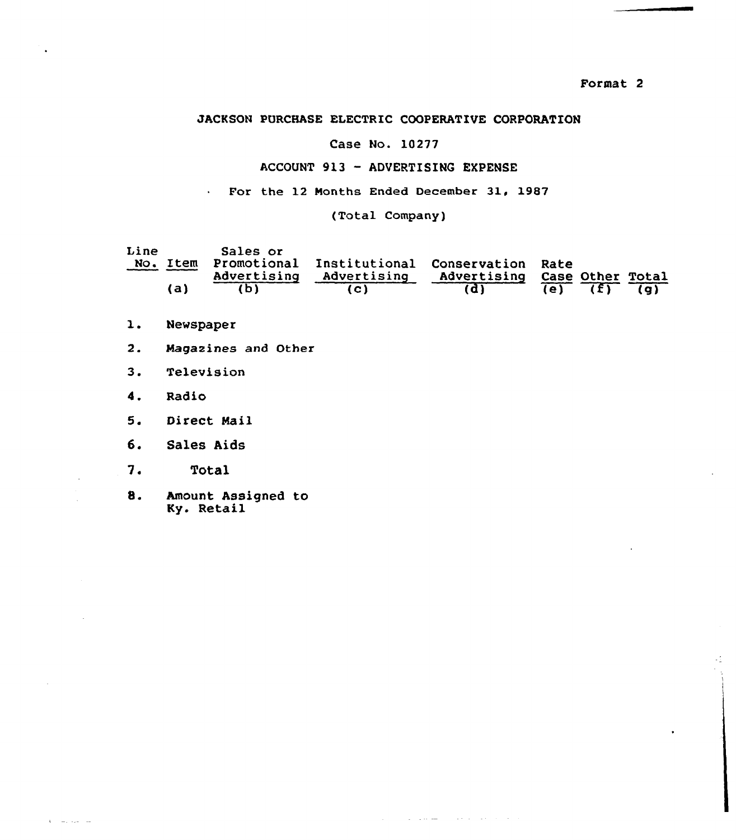## JACKSON PURCHASE ELECTRIC COOPERATIVE CORPORATION

## Case No. 10277

## ACCOUNT 913 —ADVERTISINQ EXPENSE

For the 12 Months Ended December 31, 1987

(Total Company)

| Line | No. Item | Sales or<br>Advertising | Promotional Institutional Conservation Rate<br>Advertising | Advertising Case Other Total |            |                |     |
|------|----------|-------------------------|------------------------------------------------------------|------------------------------|------------|----------------|-----|
|      | (a)      |                         |                                                            |                              | $\sqrt{e}$ | $\overline{1}$ | (a) |

المتحدث والمتحدث المستشفر والمتار

- $\mathbf{1}$ . Newspaper
- $2.$ Magazines and Other
- 3. Television
- 4. Radio
- $5.$ Direct Mail
- 6. Sales Aids
- $7.$ Total
- 8. Amount Assigned to Ky. Retail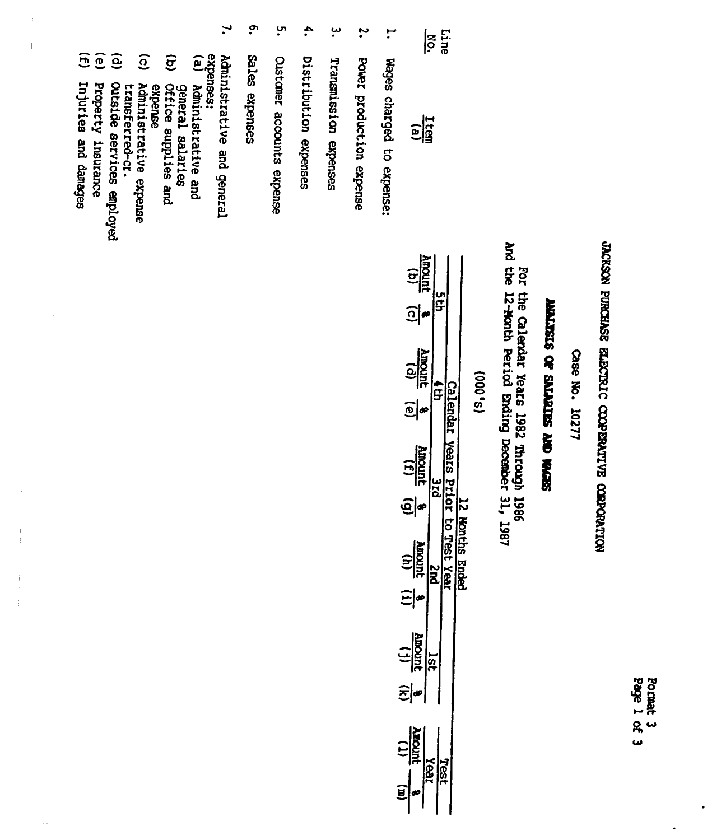| శ్ల | õ<br>CRS |
|-----|----------|
| ዪ   |          |
|     |          |

.

# JACKSON PURCHASE ELECTRIC COOPERATIVE CORPORATION

Case No. 10277

# **WALKSIS OF SILIPIDES AND REGISS**

For the Calendar Years 1982 Through 1986<br>And the 12-Month Period Ending December 31, 1987

 $(S_0, 000)$ 

| <u>ela</u>                                                  |  |
|-------------------------------------------------------------|--|
|                                                             |  |
| $\frac{1}{\sqrt{2}}$                                        |  |
|                                                             |  |
| unoun                                                       |  |
| $\widehat{\mathbin{\text{\rm e}}}$                          |  |
| $\frac{1}{2}$                                               |  |
|                                                             |  |
| urour                                                       |  |
| $\frac{1.85}{\sqrt{31}}$ $\frac{8}{\sqrt{31}}$              |  |
| $\frac{\frac{1}{\text{R point}}}{\frac{1}{\text{R point}}}$ |  |

 $\mathbf{r}$ Wages charged to expense:

purq

 $|\tilde{\mathbf{e}}|$ 

- $\ddot{\cdot}$ Power production expense
- $\cdot^{\omega}$ Transmission expenses
- $\ddot{\bullet}$ Distribution expenses
- ပ္ပ **Custaner** accounts expense
- $\cdot$ Sales expenses
- $\mathbf{I}$ expenses: Administrative and general
- $\mathbf{e}$ **Administrative and<br>General salaries<br>Office supplies and**
- $\widehat{\sigma}$ expense
- $\widehat{c}$ Administrative expense
- $\widehat{e}$ transferred-cr.<br>Outside services employed
- $\widehat{e}$ Property insurance
- $\overline{E}$ Injuries and damages

 $\overline{1}$ 

 $\bar{1}$ 

 $\overline{1}$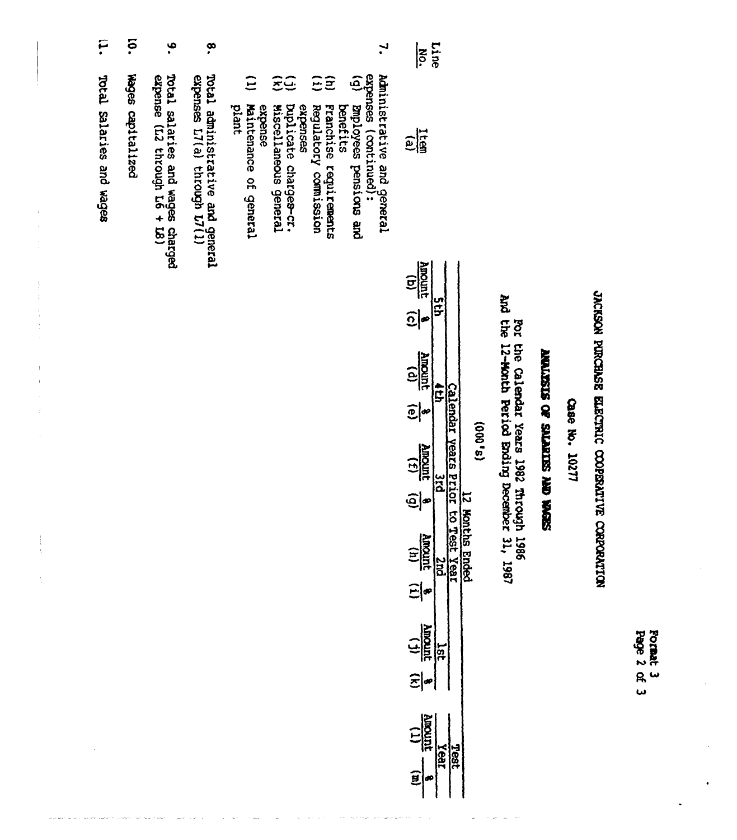|                          | နှ                | ۹.                                                               | စှ                                                               | ب.                                                                                                                                                                                                                                                                                          | Line<br>NO.                                                                  |                                   |
|--------------------------|-------------------|------------------------------------------------------------------|------------------------------------------------------------------|---------------------------------------------------------------------------------------------------------------------------------------------------------------------------------------------------------------------------------------------------------------------------------------------|------------------------------------------------------------------------------|-----------------------------------|
| potal Salaries and Wages | Rages capitalized | Total salaries and wages charged<br>expense (L2 through L6 + L8) | Total administrative and general<br>expenses L7(a) through L7(1) | expenses (continued):<br>expenses (continued):<br>(g) Emplower-<br>$\Xi$<br>ΞΞ<br>Ξĝ<br>Maintenance of general<br>Duplicate charges-cr.<br>Bnployees pensions and<br>plant<br>Miscellaneous general<br>Regulatory comission<br>Franchise<br>benefits<br>expense<br>expenses<br>requirements | <b>Fig</b><br>$\frac{(q)}{10000q}$<br>ğ<br>$\widehat{\Omega} _{\infty}$<br>旨 | And the 12-1<br>And the 12-1<br>š |

 $\begin{array}{c} 1 \\ 1 \\ 2 \\ 3 \end{array}$ 

 $\begin{array}{c} 1 \\ 1 \\ 1 \\ 1 \end{array}$ 

 $\frac{1}{3}$ 

 $\begin{array}{ccccc} & \bullet & \bullet & \bullet & \bullet & \bullet \\ & \bullet & \bullet & \bullet & \bullet & \bullet \\ & \bullet & \bullet & \bullet & \bullet & \bullet \end{array}$ 

÷,

 $\overline{\phantom{a}}$ 

JACKSON PURCHASE ELECTRIC COOPERATIVE CORPORATION

Format 3<br>Page 2 of 3

Case No. 10277

## SEPON ONY SEINFIES JO SISZIN

Calendar Years 1982 Through 1986<br>Month Period Ending December 31, 1987

| ~  |  |
|----|--|
| c  |  |
| ៜ  |  |
|    |  |
| 48 |  |
| U) |  |

| $\frac{1}{\sqrt{2}}$<br>$\widehat{\Omega} $ a |                              |                     |
|-----------------------------------------------|------------------------------|---------------------|
| <b>Rinomi</b><br>$\widehat{\mathbf{e}}$       |                              |                     |
| $\frac{(1)}{\text{number}}$                   | <b>Raks</b><br>$\frac{1}{2}$ |                     |
| <u>ତ୍ର</u><br>$\frac{1}{\sqrt{2}}$            | - to Test                    | <b>Honths Ender</b> |
| 타<br>$\frac{1}{\frac{1}{\log n}}$             |                              |                     |
| $\widehat{z} $ *                              |                              |                     |
|                                               |                              |                     |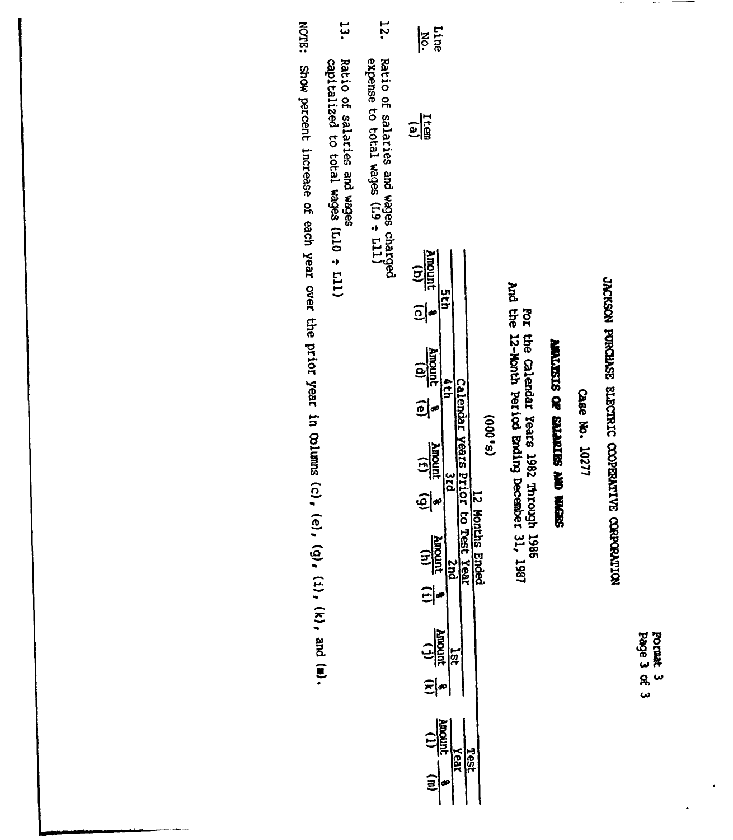Pormat 3<br>Page 3 of 3

 $\overline{\phantom{a}}$ 

JACKSON PURCHASE ELECTRIC COOPENATIVE CORPORATION

Case No. 10277

# SEPON ON SEINFIES & SISATURE

For the Calendar Years 1982 Through 1986<br>And the 12-Nonth Period Ending December 31, 1987

| $\frac{1}{2}$                                                                                                                                                                                                                                                                                                                                                  | Line<br>No. |
|----------------------------------------------------------------------------------------------------------------------------------------------------------------------------------------------------------------------------------------------------------------------------------------------------------------------------------------------------------------|-------------|
|                                                                                                                                                                                                                                                                                                                                                                |             |
| $\frac{100 \text{ m/s}}{100 \text{ m/s}}$<br>$\frac{A}{\log}\frac{d}{\log}\frac{1}{\log}$<br>916<br>O<br>ព្<br><b>Juromk</b><br>$\begin{array}{c} \boxed{1} \\ \boxed{1} \end{array}$<br>ă<br>.<br> a∘<br>$\widehat{\mathbf{e}}$<br>hs Ende<br>ጅ<br>.<br>$\frac{(11)}{(11)}$<br>.<br>Regi<br>의<br>$\frac{1}{\sin\theta}$<br>海河<br>Year<br>Tasi<br>$\mathbf{r}$ |             |

- **72.** Ratio of salaries and wages charged<br>expense to total wages (L9 + L11)
- ب<br>نبا Ratio of salaries and wages<br>capitalized to total wages (L10  $\div$  L11)

**NOTE:** Show percent increase of each year over the prior year in Colums (c), (e), (g), (i), (k), and (m).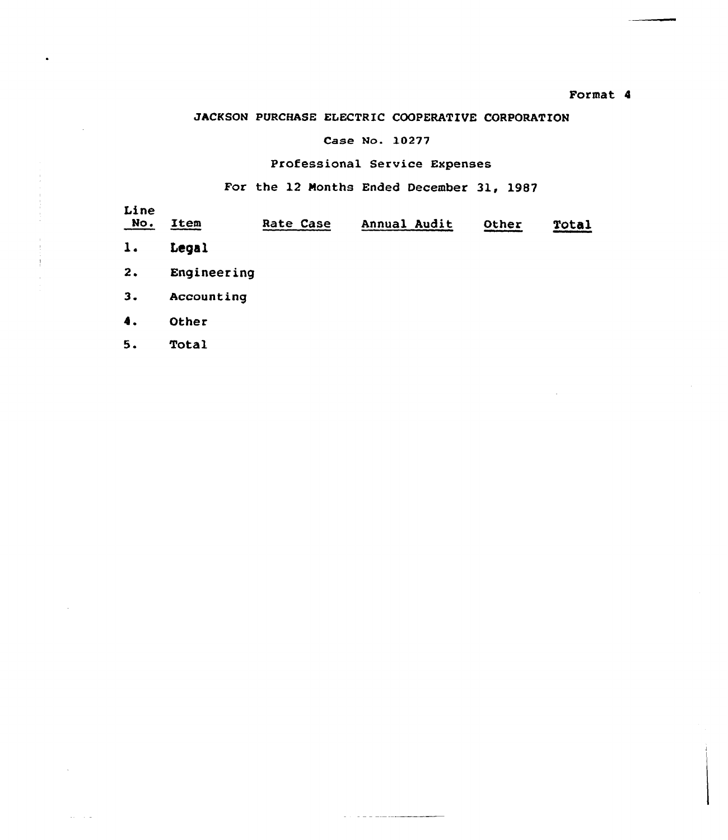## Format 4

## JACKSON PURCHASE ELECTRIC COOPERATIVE CORPORATION

## Case No. l0277

## Professional Service Expenses

## For the 12 Nonths Ended December 31, 1987

| Line<br>No.    | Item        | Rate Case | Annual Audit | Other | Total |
|----------------|-------------|-----------|--------------|-------|-------|
| $\mathbf{1}$ . | Legal       |           |              |       |       |
| 2.             | Engineering |           |              |       |       |
| 3.             | Accounting  |           |              |       |       |
| 4.             | Other       |           |              |       |       |
| 5.             | Total       |           |              |       |       |

 $\alpha$  and  $\alpha$  is a sequence of  $\alpha$ 

 $\Delta\phi = 1.7$   $\mu$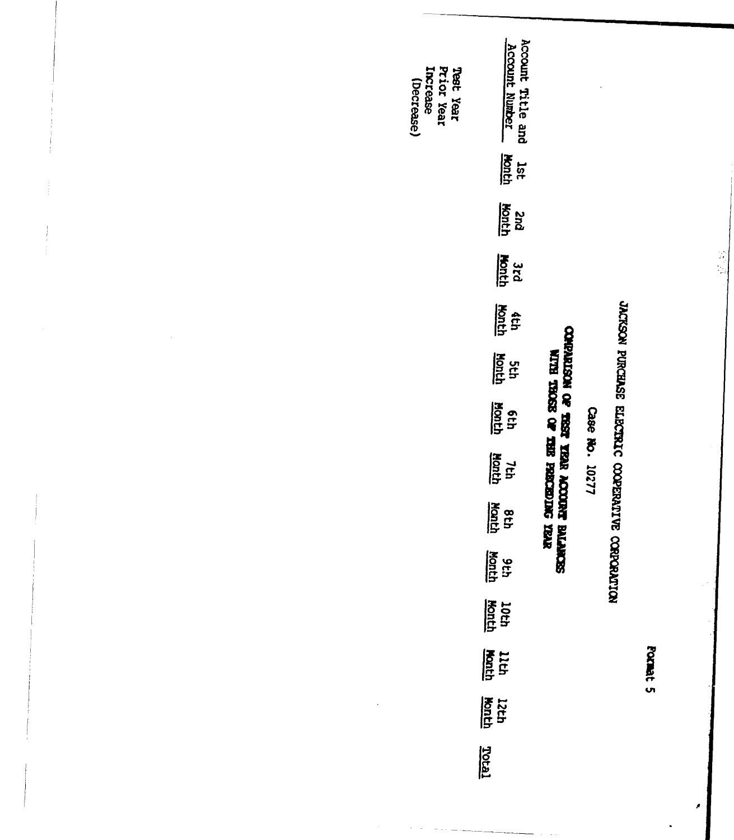| Prior Year<br>Increase<br>Teet Year<br>(Decrease) | Account Title and<br><b>Account Number</b><br><u>Aonth</u><br>1st |                                                                           |                |                                                   |          |  |
|---------------------------------------------------|-------------------------------------------------------------------|---------------------------------------------------------------------------|----------------|---------------------------------------------------|----------|--|
|                                                   |                                                                   |                                                                           |                |                                                   |          |  |
|                                                   | <u>Month</u><br>puz                                               |                                                                           |                |                                                   |          |  |
|                                                   | scd<br>bach                                                       |                                                                           |                |                                                   |          |  |
|                                                   | <u>Abneh</u><br>4th                                               |                                                                           |                |                                                   |          |  |
|                                                   | <u>Honth</u><br>g<br>St                                           |                                                                           |                |                                                   |          |  |
|                                                   | Month<br>q:p                                                      |                                                                           |                |                                                   |          |  |
|                                                   | throm<br>$\mathcal{H}$                                            |                                                                           | Case No. 10277 |                                                   |          |  |
|                                                   | Month<br><b>gth</b>                                               | CORRISON OF TEST TERRA ACCORDED BALAM<br>WITH TROSE OF THE POSCEDIMG YEAR |                | JACKSON PURCHASE ELECTRAC COOPERATIVE CORPORATION |          |  |
|                                                   | <b>Aside</b><br>date                                              | SECTION                                                                   |                |                                                   |          |  |
|                                                   | 10th<br>Month                                                     |                                                                           |                |                                                   |          |  |
|                                                   | <b>Honth</b><br>Honth                                             |                                                                           |                |                                                   | Format 5 |  |
|                                                   | 12th<br>Konth                                                     |                                                                           |                |                                                   |          |  |
|                                                   | <u>Terior</u>                                                     |                                                                           |                |                                                   |          |  |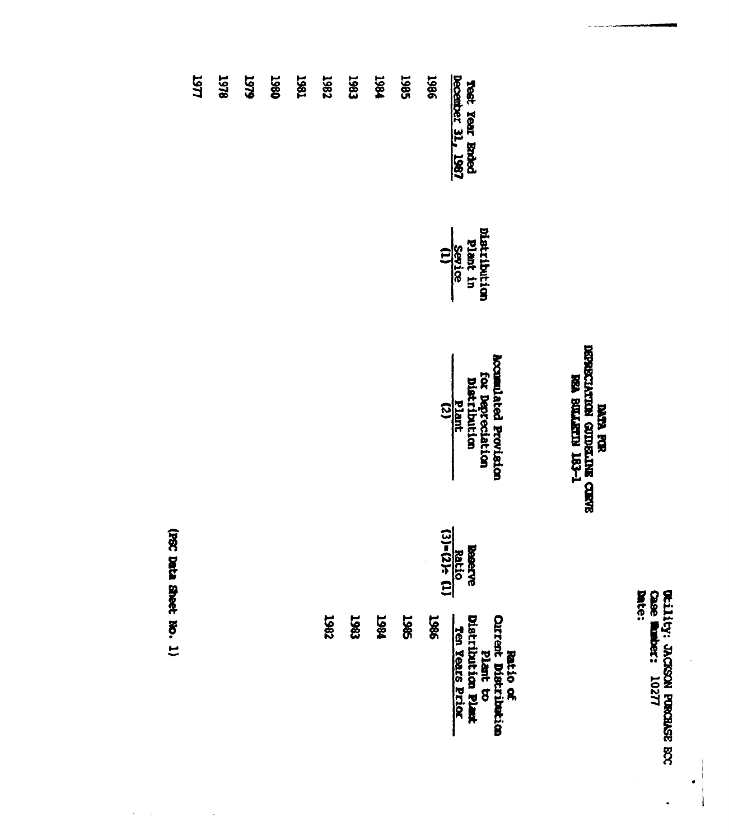**ULLILLY: JACKON PORCIASE RCC**<br>Case **Runber:** 10277<br>Date:

 $\bullet$ 

 $\ddot{\phantom{0}}$ 

## **DATA FRE**<br>BERECIATION GENERALINE CORVE<br>BEA BULLEN! LG3-1

| Test Year Ended<br>December 31, 1987 | Distribution<br>Plant in<br>Sevice<br>(1)<br>(1) | <b>Accumulated Provision</b><br>for Depreciation<br>Distribution<br>$\frac{p_1m_1t}{(2)}$ | <b>Reacre</b><br><b>Reacre</b><br><b>Reacre</b><br><b>G3</b><br><b>Example</b> | Plant to<br>Distribution Plant<br><b>Batio of<br/>Curent Distribution</b><br>Ten Years Prior |
|--------------------------------------|--------------------------------------------------|-------------------------------------------------------------------------------------------|--------------------------------------------------------------------------------|----------------------------------------------------------------------------------------------|
| <b>1986</b>                          |                                                  |                                                                                           | $\ddot{\phantom{0}}$                                                           | <b>1986</b>                                                                                  |
| 1985                                 |                                                  |                                                                                           |                                                                                | 1985                                                                                         |
| 1981                                 |                                                  |                                                                                           |                                                                                | 1867                                                                                         |
| 1983                                 |                                                  |                                                                                           |                                                                                | 1983                                                                                         |
| <b>786T</b>                          |                                                  |                                                                                           |                                                                                | 1987                                                                                         |
| 1861                                 |                                                  |                                                                                           |                                                                                |                                                                                              |
| <b>1980</b>                          |                                                  |                                                                                           |                                                                                |                                                                                              |
| <b>646T</b>                          |                                                  |                                                                                           |                                                                                |                                                                                              |
| <b>1978</b>                          |                                                  |                                                                                           |                                                                                |                                                                                              |

(PSC Data Sheet No. 1)

 $\lambda_{\rm{max}}$ 

 $\bar{\omega}$ 

1977